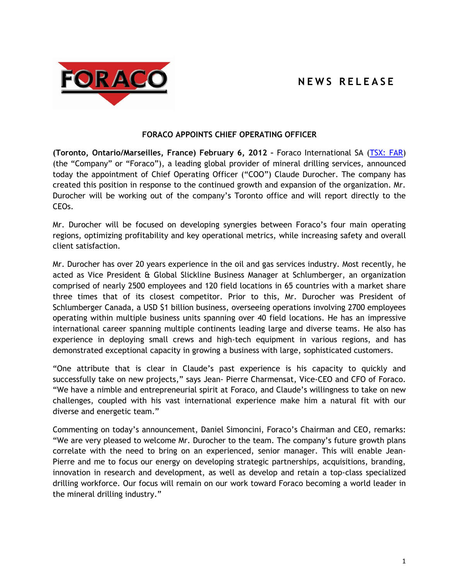## **N E W S R E L E A S E**



## **FORACO APPOINTS CHIEF OPERATING OFFICER**

**(Toronto, Ontario/Marseilles, France) February 6, 2012 –** Foraco International SA [\(TSX: FAR\)](http://tmx.quotemedia.com/quote.php?qm_symbol=FAR&locale=EN) (the "Company" or "Foraco"), a leading global provider of mineral drilling services, announced today the appointment of Chief Operating Officer ("COO") Claude Durocher. The company has created this position in response to the continued growth and expansion of the organization. Mr. Durocher will be working out of the company's Toronto office and will report directly to the CEOs.

Mr. Durocher will be focused on developing synergies between Foraco's four main operating regions, optimizing profitability and key operational metrics, while increasing safety and overall client satisfaction.

Mr. Durocher has over 20 years experience in the oil and gas services industry. Most recently, he acted as Vice President & Global Slickline Business Manager at Schlumberger, an organization comprised of nearly 2500 employees and 120 field locations in 65 countries with a market share three times that of its closest competitor. Prior to this, Mr. Durocher was President of Schlumberger Canada, a USD \$1 billion business, overseeing operations involving 2700 employees operating within multiple business units spanning over 40 field locations. He has an impressive international career spanning multiple continents leading large and diverse teams. He also has experience in deploying small crews and high-tech equipment in various regions, and has demonstrated exceptional capacity in growing a business with large, sophisticated customers.

"One attribute that is clear in Claude's past experience is his capacity to quickly and successfully take on new projects," says Jean- Pierre Charmensat, Vice-CEO and CFO of Foraco. "We have a nimble and entrepreneurial spirit at Foraco, and Claude's willingness to take on new challenges, coupled with his vast international experience make him a natural fit with our diverse and energetic team."

Commenting on today's announcement, Daniel Simoncini, Foraco's Chairman and CEO, remarks: "We are very pleased to welcome Mr. Durocher to the team. The company's future growth plans correlate with the need to bring on an experienced, senior manager. This will enable Jean-Pierre and me to focus our energy on developing strategic partnerships, acquisitions, branding, innovation in research and development, as well as develop and retain a top-class specialized drilling workforce. Our focus will remain on our work toward Foraco becoming a world leader in the mineral drilling industry."